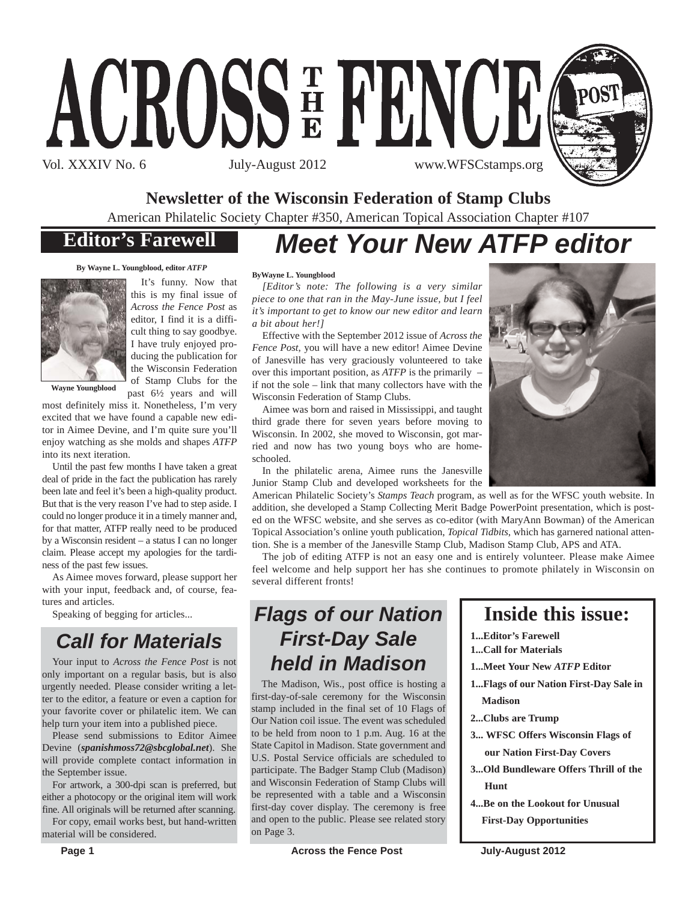



#### **Newsletter of the Wisconsin Federation of Stamp Clubs**

American Philatelic Society Chapter #350, American Topical Association Chapter #107

## **Editor's Farewell**

## *Meet Your New ATFP editor*

**By Wayne L. Youngblood, editor** *ATFP*



It's funny. Now that this is my final issue of *Across the Fence Post* as editor, I find it is a difficult thing to say goodbye. I have truly enjoyed producing the publication for the Wisconsin Federation of Stamp Clubs for the past 6½ years and will

most definitely miss it. Nonetheless, I'm very excited that we have found a capable new edi-

tor in Aimee Devine, and I'm quite sure you'll enjoy watching as she molds and shapes *ATFP* into its next iteration.

Until the past few months I have taken a great deal of pride in the fact the publication has rarely been late and feel it's been a high-quality product. But that is the very reason I've had to step aside. I could no longer produce it in a timely manner and, for that matter, ATFP really need to be produced by a Wisconsin resident – a status I can no longer claim. Please accept my apologies for the tardiness of the past few issues.

As Aimee moves forward, please support her with your input, feedback and, of course, features and articles.

Speaking of begging for articles...

## *Call for Materials*

Your input to *Across the Fence Post* is not only important on a regular basis, but is also urgently needed. Please consider writing a letter to the editor, a feature or even a caption for your favorite cover or philatelic item. We can help turn your item into a published piece.

Please send submissions to Editor Aimee Devine (*spanishmoss72@sbcglobal.net*). She will provide complete contact information in the September issue.

For artwork, a 300-dpi scan is preferred, but either a photocopy or the original item will work fine. All originals will be returned after scanning.

For copy, email works best, but hand-written material will be considered.

#### **ByWayne L. Youngblood**

*[Editor's note: The following is a very similar piece to one that ran in the May-June issue, but I feel it's important to get to know our new editor and learn a bit about her!]*

Effective with the September 2012 issue of *Across the Fence Post*, you will have a new editor! Aimee Devine of Janesville has very graciously volunteered to take over this important position, as *ATFP* is the primarily – if not the sole – link that many collectors have with the Wisconsin Federation of Stamp Clubs.

Aimee was born and raised in Mississippi, and taught third grade there for seven years before moving to Wisconsin. In 2002, she moved to Wisconsin, got married and now has two young boys who are homeschooled.

In the philatelic arena, Aimee runs the Janesville Junior Stamp Club and developed worksheets for the

American Philatelic Society's *Stamps Teach* program, as well as for the WFSC youth website. In addition, she developed a Stamp Collecting Merit Badge PowerPoint presentation, which is posted on the WFSC website, and she serves as co-editor (with MaryAnn Bowman) of the American Topical Association's online youth publication, *Topical Tidbits*, which has garnered national attention. She is a member of the Janesville Stamp Club, Madison Stamp Club, APS and ATA.

The job of editing ATFP is not an easy one and is entirely volunteer. Please make Aimee feel welcome and help support her has she continues to promote philately in Wisconsin on several different fronts!

## *Flags of our Nation First-Day Sale held in Madison*

The Madison, Wis., post office is hosting a first-day-of-sale ceremony for the Wisconsin stamp included in the final set of 10 Flags of Our Nation coil issue. The event was scheduled to be held from noon to 1 p.m. Aug. 16 at the State Capitol in Madison. State government and U.S. Postal Service officials are scheduled to participate. The Badger Stamp Club (Madison) and Wisconsin Federation of Stamp Clubs will be represented with a table and a Wisconsin first-day cover display. The ceremony is free and open to the public. Please see related story on Page 3.

### **Inside this issue:**

- **1...Editor's Farewell**
- **1...Call for Materials**
- **1...Meet Your New** *ATFP* **Editor**
- **1...Flags of our Nation First-Day Sale in Madison**
- **2...Clubs are Trump**
- **3... WFSC Offers Wisconsin Flags of our Nation First-Day Covers**
- **3...Old Bundleware Offers Thrill of the Hunt**
- **4...Be on the Lookout for Unusual First-Day Opportunities**

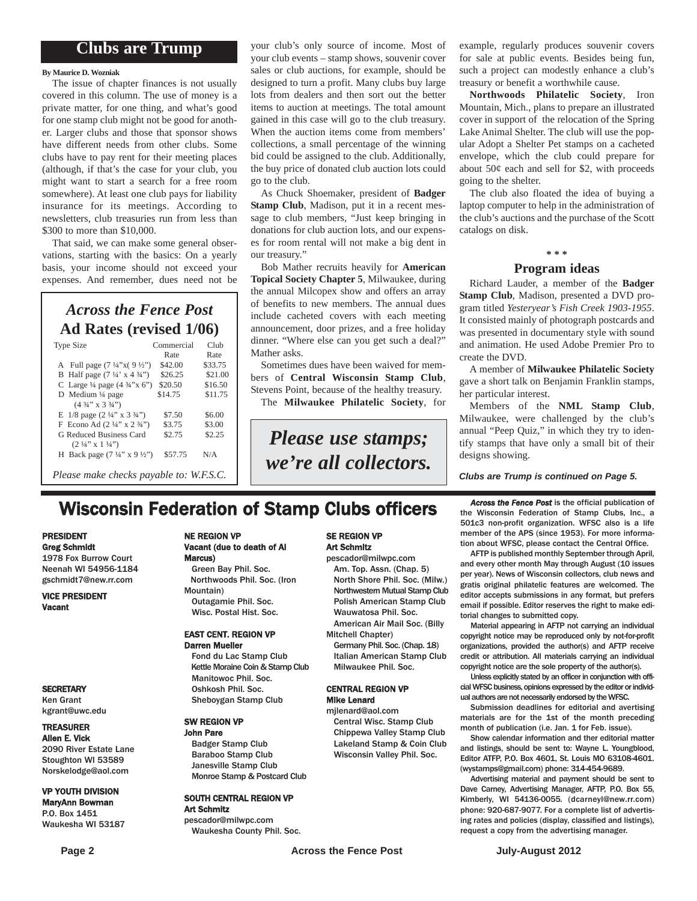#### **Clubs are Trump**

#### **By Maurice D. Wozniak**

The issue of chapter finances is not usually covered in this column. The use of money is a private matter, for one thing, and what's good for one stamp club might not be good for another. Larger clubs and those that sponsor shows have different needs from other clubs. Some clubs have to pay rent for their meeting places (although, if that's the case for your club, you might want to start a search for a free room somewhere). At least one club pays for liability insurance for its meetings. According to newsletters, club treasuries run from less than \$300 to more than \$10,000.

That said, we can make some general observations, starting with the basics: On a yearly basis, your income should not exceed your expenses. And remember, dues need not be

#### *Across the Fence Post* **Ad Rates (revised 1/06)**

| <b>Type Size</b>                                   | Commercial<br>Rate | Club<br>Rate |
|----------------------------------------------------|--------------------|--------------|
|                                                    |                    |              |
| A Full page $(7\frac{1}{4}x)(9\frac{1}{2}x)$       | \$42.00            | \$33.75      |
| B Half page $(7\frac{1}{4} \times 4\frac{3}{4})$   | \$26.25            | \$21.00      |
| C Large $\frac{1}{4}$ page $(4 \frac{3}{4}$ "x 6") | \$20.50            | \$16.50      |
| D Medium $\frac{1}{4}$ page                        | \$14.75            | \$11.75      |
| $(4\frac{3}{4}$ " x 3 $\frac{3}{4}$ ")             |                    |              |
| E $1/8$ page $(2\frac{1}{4}$ " x $3\frac{3}{4}$ ") | \$7.50             | \$6.00       |
| F Econo Ad $(2\frac{1}{4}$ " x $2\frac{3}{4}$ ")   | \$3.75             | \$3.00       |
| G Reduced Business Card                            | \$2.75             | \$2.25       |
| $(2 \frac{1}{4}$ " x $1 \frac{1}{4}$ ")            |                    |              |
| H Back page $(7\frac{1}{4}$ " x $9\frac{1}{2}$ ")  | \$57.75            | N/A          |
|                                                    |                    |              |
| Please make checks payable to: W.F.S.C.            |                    |              |

your club's only source of income. Most of your club events – stamp shows, souvenir cover sales or club auctions, for example, should be designed to turn a profit. Many clubs buy large lots from dealers and then sort out the better items to auction at meetings. The total amount gained in this case will go to the club treasury. When the auction items come from members' collections, a small percentage of the winning bid could be assigned to the club. Additionally, the buy price of donated club auction lots could go to the club.

As Chuck Shoemaker, president of **Badger Stamp Club**, Madison, put it in a recent message to club members, "Just keep bringing in donations for club auction lots, and our expenses for room rental will not make a big dent in our treasury."

Bob Mather recruits heavily for **American Topical Society Chapter 5**, Milwaukee, during the annual Milcopex show and offers an array of benefits to new members. The annual dues include cacheted covers with each meeting announcement, door prizes, and a free holiday dinner. "Where else can you get such a deal?" Mather asks.

Sometimes dues have been waived for members of **Central Wisconsin Stamp Club**, Stevens Point, because of the healthy treasury. The **Milwaukee Philatelic Society**, for

*Please use stamps; we're all collectors.* example, regularly produces souvenir covers for sale at public events. Besides being fun, such a project can modestly enhance a club's treasury or benefit a worthwhile cause.

**Northwoods Philatelic Society**, Iron Mountain, Mich., plans to prepare an illustrated cover in support of the relocation of the Spring Lake Animal Shelter. The club will use the popular Adopt a Shelter Pet stamps on a cacheted envelope, which the club could prepare for about  $50¢$  each and sell for \$2, with proceeds going to the shelter.

The club also floated the idea of buying a laptop computer to help in the administration of the club's auctions and the purchase of the Scott catalogs on disk.

#### **\* \* \***

#### **Program ideas**

Richard Lauder, a member of the **Badger Stamp Club**, Madison, presented a DVD program titled *Yesteryear's Fish Creek 1903-1955*. It consisted mainly of photograph postcards and was presented in documentary style with sound and animation. He used Adobe Premier Pro to create the DVD.

A member of **Milwaukee Philatelic Society** gave a short talk on Benjamin Franklin stamps, her particular interest.

Members of the **NML Stamp Club**, Milwaukee, were challenged by the club's annual "Peep Quiz," in which they try to identify stamps that have only a small bit of their designs showing.

*Clubs are Trump is continued on Page 5.*

the Wisconsin Federation of Stamp Clubs, Inc., a 501c3 non-profit organization. WFSC also is a life member of the APS (since 1953). For more information about WFSC, please contact the Central Office. AFTP is published monthly September through April, and every other month May through August (10 issues per year). News of Wisconsin collectors, club news and gratis original philatelic features are welcomed. The editor accepts submissions in any format, but prefers email if possible. Editor reserves the right to make edi-

## **Wisconsin Federation of Stamp Clubs officers** *Across the Fence Post* is the official publication of stamp Clubs, Inc., a

#### PRESIDENT Greg Schmidt

1978 Fox Burrow Court Neenah WI 54956-1184 gschmidt7@new.rr.com

VICE PRESIDENT Vacant

#### **SECRETARY**

Ken Grant kgrant@uwc.edu

#### TREASURER

Allen E. Vick 2090 River Estate Lane Stoughton WI 53589 Norskelodge@aol.com

#### VP YOUTH DIVISION MaryAnn Bowman

P.O. Box 1451 Waukesha WI 53187

#### NE REGION VP Vacant (due to death of Al Marcus)

Green Bay Phil. Soc. Northwoods Phil. Soc. (Iron Mountain) Outagamie Phil. Soc.

#### EAST CENT. REGION VP Darren Mueller

Wisc. Postal Hist. Soc.

Fond du Lac Stamp Club Kettle Moraine Coin & Stamp Club Manitowoc Phil. Soc. Oshkosh Phil. Soc. Sheboygan Stamp Club

#### SW REGION VP John Pare

Badger Stamp Club Baraboo Stamp Club Janesville Stamp Club Monroe Stamp & Postcard Club

#### SOUTH CENTRAL REGION VP Art Schmitz

pescador@milwpc.com Waukesha County Phil. Soc.

#### SE REGION VP Art Schmitz

pescador@milwpc.com Am. Top. Assn. (Chap. 5) North Shore Phil. Soc. (Milw.) Northwestern Mutual Stamp Club Polish American Stamp Club Wauwatosa Phil. Soc. American Air Mail Soc. (Billy

Mitchell Chapter)

Germany Phil. Soc. (Chap. 18) Italian American Stamp Club Milwaukee Phil. Soc.

#### CENTRAL REGION VP Mike Lenard

mjlenard@aol.com Central Wisc. Stamp Club Chippewa Valley Stamp Club Lakeland Stamp & Coin Club Wisconsin Valley Phil. Soc.

organizations, provided the author(s) and AFTP receive credit or attribution. All materials carrying an individual copyright notice are the sole property of the author(s). Unless explicitly stated by an officer in conjunction with official WFSC business, opinions expressed by the editor or individual authors are not necessarily endorsed by the WFSC.

torial changes to submitted copy.

Submission deadlines for editorial and avertising materials are for the 1st of the month preceding month of publication (i.e. Jan. 1 for Feb. issue).

Material appearing in AFTP not carrying an individual copyright notice may be reproduced only by not-for-profit

Show calendar information and ther editorial matter and listings, should be sent to: Wayne L. Youngblood, Editor ATFP, P.O. Box 4601, St. Louis MO 63108-4601. (wystamps@gmail.com) phone: 314-454-9689.

Advertising material and payment should be sent to Dave Carney, Advertising Manager, AFTP, P.O. Box 55, Kimberly, WI 54136-0055. (dcarneyl@new.rr.com) phone: 920-687-9077. For a complete list of advertising rates and policies (display, classified and listings), request a copy from the advertising manager.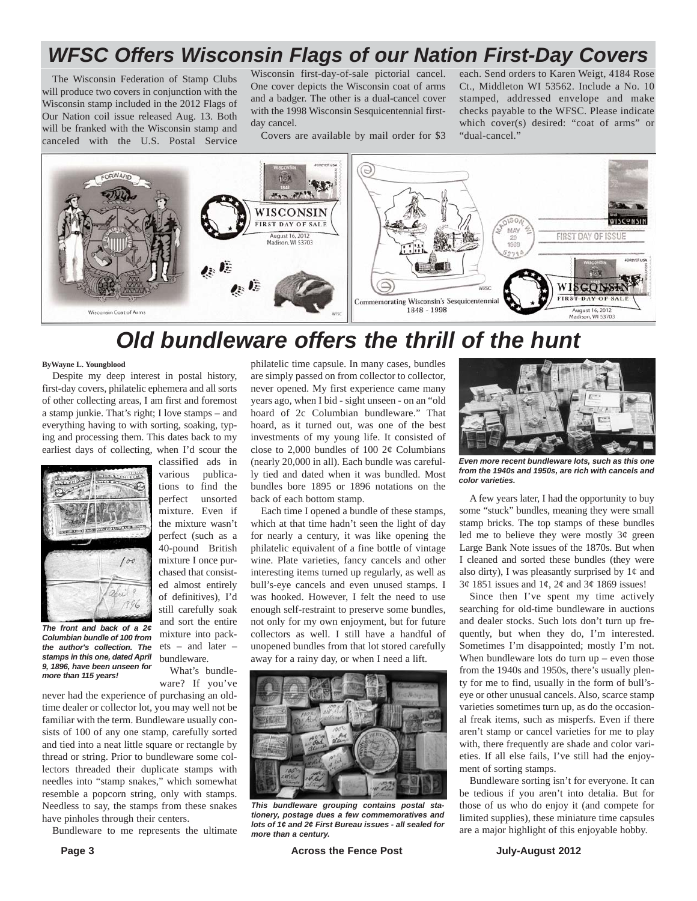## *WFSC Offers Wisconsin Flags of our Nation First-Day Covers*

The Wisconsin Federation of Stamp Clubs will produce two covers in conjunction with the Wisconsin stamp included in the 2012 Flags of Our Nation coil issue released Aug. 13. Both will be franked with the Wisconsin stamp and canceled with the U.S. Postal Service

Wisconsin first-day-of-sale pictorial cancel. One cover depicts the Wisconsin coat of arms and a badger. The other is a dual-cancel cover with the 1998 Wisconsin Sesquicentennial firstday cancel.

Covers are available by mail order for \$3 stamped, addressed envelope and make checks payable to the WFSC. Please indicate which cover(s) desired: "coat of arms" or "dual-cancel."

each. Send orders to Karen Weigt, 4184 Rose Ct., Middleton WI 53562. Include a No. 10

**AWAD** WISCONSIN **FIRST DAY OF SALE MAY** FIRST DAY OF ISSUE August 16, 2012<br>Madison, WI 53703 参考 参考 WÍ **CQNS+** FIRST DAY OF SAL Commemorating Wisconsin's Sesquicentennial 1848 - 1998 August 16, 2012<br>Madison, WI 53703 Wisconsin Coat of Arm

## *Old bundleware offers the thrill of the hunt*

#### **ByWayne L. Youngblood**

Despite my deep interest in postal history, first-day covers, philatelic ephemera and all sorts of other collecting areas, I am first and foremost a stamp junkie. That's right; I love stamps – and everything having to with sorting, soaking, typing and processing them. This dates back to my earliest days of collecting, when I'd scour the



*The front and back of a 2¢ Columbian bundle of 100 from the author's collection. The stamps in this one, dated April 9, 1896, have been unseen for more than 115 years!*

classified ads in various publications to find the perfect unsorted mixture. Even if the mixture wasn't perfect (such as a 40-pound British mixture I once purchased that consisted almost entirely of definitives), I'd still carefully soak and sort the entire mixture into packets – and later – bundleware.

What's bundleware? If you've

never had the experience of purchasing an oldtime dealer or collector lot, you may well not be familiar with the term. Bundleware usually consists of 100 of any one stamp, carefully sorted and tied into a neat little square or rectangle by thread or string. Prior to bundleware some collectors threaded their duplicate stamps with needles into "stamp snakes," which somewhat resemble a popcorn string, only with stamps. Needless to say, the stamps from these snakes have pinholes through their centers.

Bundleware to me represents the ultimate

philatelic time capsule. In many cases, bundles are simply passed on from collector to collector, never opened. My first experience came many years ago, when I bid - sight unseen - on an "old hoard of 2c Columbian bundleware." That hoard, as it turned out, was one of the best investments of my young life. It consisted of close to 2,000 bundles of 100  $2¢$  Columbians (nearly 20,000 in all). Each bundle was carefully tied and dated when it was bundled. Most bundles bore 1895 or 1896 notations on the back of each bottom stamp.

Each time I opened a bundle of these stamps, which at that time hadn't seen the light of day for nearly a century, it was like opening the philatelic equivalent of a fine bottle of vintage wine. Plate varieties, fancy cancels and other interesting items turned up regularly, as well as bull's-eye cancels and even unused stamps. I was hooked. However, I felt the need to use enough self-restraint to preserve some bundles, not only for my own enjoyment, but for future collectors as well. I still have a handful of unopened bundles from that lot stored carefully away for a rainy day, or when I need a lift.



*This bundleware grouping contains postal stationery, postage dues a few commemoratives and lots of 1¢ and 2¢ First Bureau issues - all sealed for more than a century.*



*Even more recent bundleware lots, such as this one from the 1940s and 1950s, are rich with cancels and color varieties.*

A few years later, I had the opportunity to buy some "stuck" bundles, meaning they were small stamp bricks. The top stamps of these bundles led me to believe they were mostly  $3¢$  green Large Bank Note issues of the 1870s. But when I cleaned and sorted these bundles (they were also dirty), I was pleasantly surprised by  $1¢$  and  $3¢$  1851 issues and  $1¢$ ,  $2¢$  and  $3¢$  1869 issues!

Since then I've spent my time actively searching for old-time bundleware in auctions and dealer stocks. Such lots don't turn up frequently, but when they do, I'm interested. Sometimes I'm disappointed; mostly I'm not. When bundleware lots do turn up – even those from the 1940s and 1950s, there's usually plenty for me to find, usually in the form of bull'seye or other unusual cancels. Also, scarce stamp varieties sometimes turn up, as do the occasional freak items, such as misperfs. Even if there aren't stamp or cancel varieties for me to play with, there frequently are shade and color varieties. If all else fails, I've still had the enjoyment of sorting stamps.

Bundleware sorting isn't for everyone. It can be tedious if you aren't into detalia. But for those of us who do enjoy it (and compete for limited supplies), these miniature time capsules are a major highlight of this enjoyable hobby.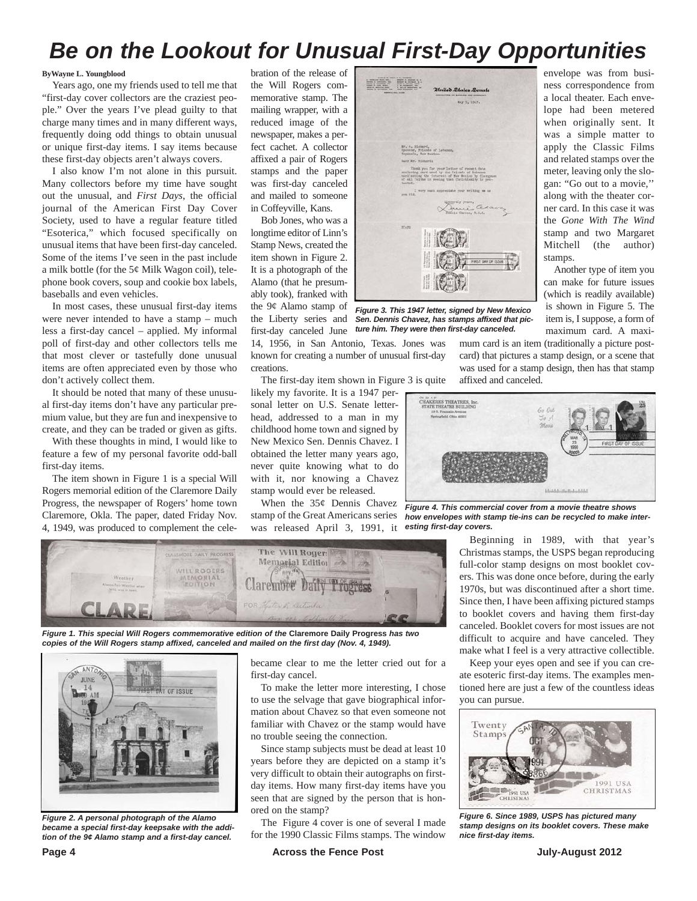## *Be on the Lookout for Unusual First-Day Opportunities*

#### **ByWayne L. Youngblood**

Years ago, one my friends used to tell me that "first-day cover collectors are the craziest people." Over the years I've plead guilty to that charge many times and in many different ways, frequently doing odd things to obtain unusual or unique first-day items. I say items because these first-day objects aren't always covers.

I also know I'm not alone in this pursuit. Many collectors before my time have sought out the unusual, and *First Days*, the official journal of the American First Day Cover Society, used to have a regular feature titled "Esoterica," which focused specifically on unusual items that have been first-day canceled. Some of the items I've seen in the past include a milk bottle (for the 5¢ Milk Wagon coil), telephone book covers, soup and cookie box labels, baseballs and even vehicles.

In most cases, these unusual first-day items were never intended to have a stamp – much less a first-day cancel – applied. My informal poll of first-day and other collectors tells me that most clever or tastefully done unusual items are often appreciated even by those who don't actively collect them.

It should be noted that many of these unusual first-day items don't have any particular premium value, but they are fun and inexpensive to create, and they can be traded or given as gifts.

With these thoughts in mind, I would like to feature a few of my personal favorite odd-ball first-day items.

The item shown in Figure 1 is a special Will Rogers memorial edition of the Claremore Daily Progress, the newspaper of Rogers' home town Claremore, Okla. The paper, dated Friday Nov. 4, 1949, was produced to complement the celebration of the release of the Will Rogers commemorative stamp. The mailing wrapper, with a reduced image of the newspaper, makes a perfect cachet. A collector affixed a pair of Rogers stamps and the paper was first-day canceled and mailed to someone in Coffeyville, Kans.

Bob Jones, who was a longtime editor of Linn's Stamp News, created the item shown in Figure 2. It is a photograph of the Alamo (that he presumably took), franked with the 9¢ Alamo stamp of the Liberty series and first-day canceled June

14, 1956, in San Antonio, Texas. Jones was known for creating a number of unusual first-day creations.

The first-day item shown in Figure 3 is quite

likely my favorite. It is a 1947 personal letter on U.S. Senate letterhead, addressed to a man in my childhood home town and signed by New Mexico Sen. Dennis Chavez. I obtained the letter many years ago, never quite knowing what to do with it, nor knowing a Chavez stamp would ever be released.

When the 35¢ Dennis Chavez stamp of the Great Americans series was released April 3, 1991, it *esting first-day covers.*



*Figure 1. This special Will Rogers commemorative edition of the* **Claremore Daily Progress** *has two copies of the Will Rogers stamp affixed, canceled and mailed on the first day (Nov. 4, 1949).*



*Figure 2. A personal photograph of the Alamo became a special first-day keepsake with the addition of the 9¢ Alamo stamp and a first-day cancel.*

became clear to me the letter cried out for a first-day cancel.

To make the letter more interesting, I chose to use the selvage that gave biographical information about Chavez so that even someone not familiar with Chavez or the stamp would have no trouble seeing the connection.

Since stamp subjects must be dead at least 10 years before they are depicted on a stamp it's very difficult to obtain their autographs on firstday items. How many first-day items have you seen that are signed by the person that is honored on the stamp?

The Figure 4 cover is one of several I made for the 1990 Classic Films stamps. The window



*Figure 3. This 1947 letter, signed by New Mexico Sen. Dennis Chavez, has stamps affixed that picture him. They were then first-day canceled.*

mum card is an item (traditionally a picture postcard) that pictures a stamp design, or a scene that was used for a stamp design, then has that stamp affixed and canceled.

stamps.

envelope was from business correspondence from a local theater. Each envelope had been metered when originally sent. It was a simple matter to apply the Classic Films and related stamps over the meter, leaving only the slogan: "Go out to a movie,'' along with the theater corner card. In this case it was the *Gone With The Wind* stamp and two Margaret Mitchell (the author)

Another type of item you can make for future issues (which is readily available) is shown in Figure 5. The item is, I suppose, a form of maximum card. A maxi-



*Figure 4. This commercial cover from a movie theatre shows how envelopes with stamp tie-ins can be recycled to make inter-*

Beginning in 1989, with that year's Christmas stamps, the USPS began reproducing full-color stamp designs on most booklet covers. This was done once before, during the early 1970s, but was discontinued after a short time. Since then, I have been affixing pictured stamps to booklet covers and having them first-day canceled. Booklet covers for most issues are not difficult to acquire and have canceled. They make what I feel is a very attractive collectible.

Keep your eyes open and see if you can create esoteric first-day items. The examples mentioned here are just a few of the countless ideas you can pursue.



*Figure 6. Since 1989, USPS has pictured many stamp designs on its booklet covers. These make nice first-day items.*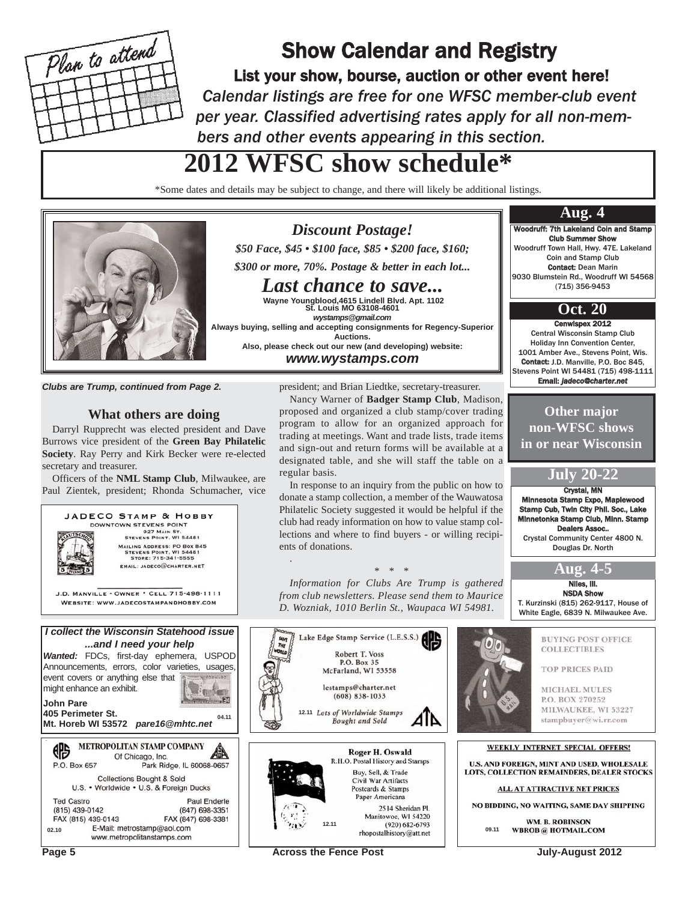

## Show Calendar and Registry

List your show, bourse, auction or other event here! *Calendar listings are free for one WFSC member-club event per year. Classified advertising rates apply for all non-members and other events appearing in this section.*

## **2012 WFSC show schedule\***

\*Some dates and details may be subject to change, and there will likely be additional listings.

*Discount Postage! \$50 Face, \$45 • \$100 face, \$85 • \$200 face, \$160; \$300 or more, 70%. Postage & better in each lot... Last chance to save...*  **Wayne Youngblood,4615 Lindell Blvd. Apt. 1102 St. Louis MO 63108-4601** *wystamps@gmail.com*

**Auctions. Also, please check out our new (and developing) website:** *www.wystamps.com* 



*Clubs are Trump, continued from Page 2.*

#### **What others are doing**

Darryl Rupprecht was elected president and Dave Burrows vice president of the **Green Bay Philatelic Society**. Ray Perry and Kirk Becker were re-elected secretary and treasurer.

Officers of the **NML Stamp Club**, Milwaukee, are Paul Zientek, president; Rhonda Schumacher, vice



president; and Brian Liedtke, secretary-treasurer.

Nancy Warner of **Badger Stamp Club**, Madison, proposed and organized a club stamp/cover trading program to allow for an organized approach for trading at meetings. Want and trade lists, trade items and sign-out and return forms will be available at a designated table, and she will staff the table on a regular basis.

In response to an inquiry from the public on how to donate a stamp collection, a member of the Wauwatosa Philatelic Society suggested it would be helpful if the club had ready information on how to value stamp collections and where to find buyers - or willing recipients of donations.

#### *\* \* \**

*Information for Clubs Are Trump is gathered from club newsletters. Please send them to Maurice D. Wozniak, 1010 Berlin St., Waupaca WI 54981.*



.



Niles, Ill. NSDA Show T. Kurzinski (815) 262-9117, House of

**Aug. 4-5**

Crystal, MN ota Stamp Expo, Maple Stamp Cub, Twin City Phil. Soc., Lake Minnetonka Stamp Club, Minn. Stamp Dealers Assoc.. Crystal Community Center 4800 N. Douglas Dr. North

**July 20-22**

**Other major non-WFSC shows in or near Wisconsin**

Woodruff: 7th Lakeland Coin and Stamp Club Summer Show Woodruff Town Hall, Hwy. 47E. Lakeland Coin and Stamp Club Contact: Dean Marin 9030 Blumstein Rd., Woodruff WI 54568 (715) 356-9453

**Aug. 4**

Cenwispex 2012 Central Wisconsin Stamp Club Holiday Inn Convention Center, 1001 Amber Ave., Stevens Point, Wis. Contact: I.D. Manville, P.O. Boc 845 Stevens Point WI 54481 (715) 498-1111 Email: *jadeco@charter.net*

**Oct. 20**

**RUYING POST OFFICE COLLECTIBLES** 

**TOP PRICES PAID** 

**MICHAEL MULES** P.O. BOX 270252 MILWAUKEE, WI 53227 stampbuyer@wi.rr.com

#### WEEKLY INTERNET SPECIAL OFFERS!

U.S. AND FOREIGN, MINT AND USED, WHOLESALE LOTS, COLLECTION REMAINDERS, DEALER STOCKS

ALL AT ATTRACTIVE NET PRICES

NO BIDDING, NO WAITING, SAME DAY SHIPPING

**WM. R. ROBINSON WBROB** @ HOTMAIL.COM